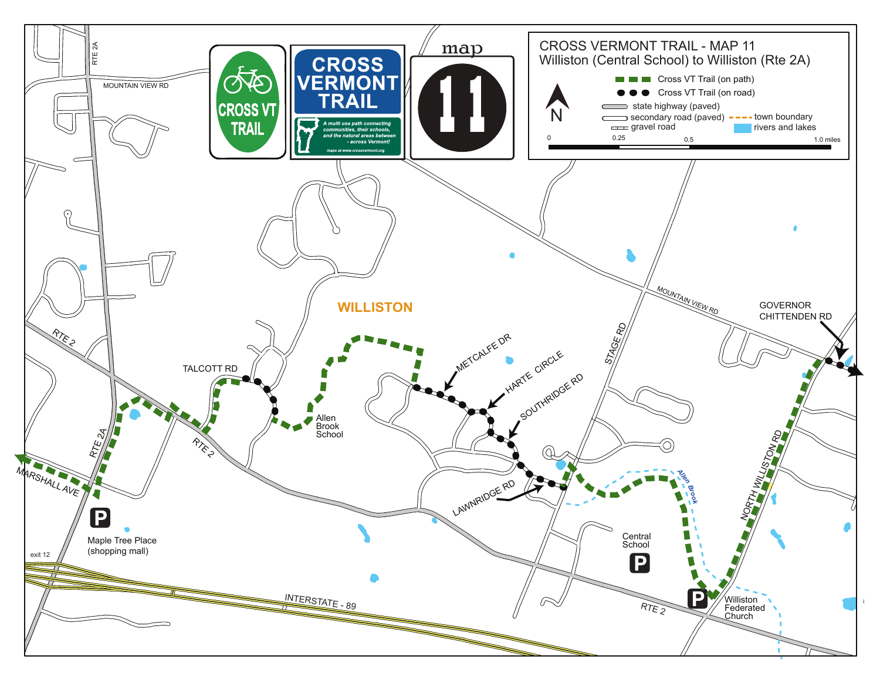